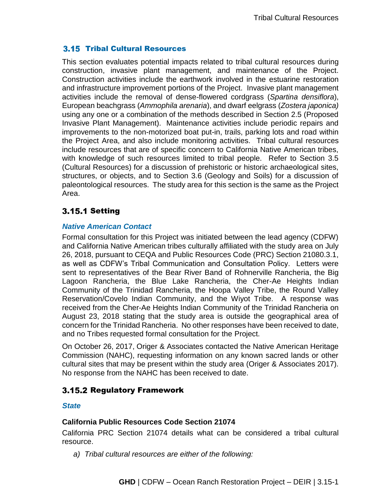## **3.15 Tribal Cultural Resources**

This section evaluates potential impacts related to tribal cultural resources during construction, invasive plant management, and maintenance of the Project. Construction activities include the earthwork involved in the estuarine restoration and infrastructure improvement portions of the Project. Invasive plant management activities include the removal of dense-flowered cordgrass (*Spartina densiflora*), European beachgrass (*Ammophila arenaria*), and dwarf eelgrass (*Zostera japonica)* using any one or a combination of the methods described in Section 2.5 (Proposed Invasive Plant Management). Maintenance activities include periodic repairs and improvements to the non-motorized boat put-in, trails, parking lots and road within the Project Area, and also include monitoring activities. Tribal cultural resources include resources that are of specific concern to California Native American tribes, with knowledge of such resources limited to tribal people. Refer to Section 3.5 (Cultural Resources) for a discussion of prehistoric or historic archaeological sites, structures, or objects, and to Section 3.6 (Geology and Soils) for a discussion of paleontological resources. The study area for this section is the same as the Project Area.

# **3.15.1 Setting**

## *Native American Contact*

Formal consultation for this Project was initiated between the lead agency (CDFW) and California Native American tribes culturally affiliated with the study area on July 26, 2018, pursuant to CEQA and Public Resources Code (PRC) Section 21080.3.1, as well as CDFW's Tribal Communication and Consultation Policy. Letters were sent to representatives of the Bear River Band of Rohnerville Rancheria, the Big Lagoon Rancheria, the Blue Lake Rancheria, the Cher-Ae Heights Indian Community of the Trinidad Rancheria, the Hoopa Valley Tribe, the Round Valley Reservation/Covelo Indian Community, and the Wiyot Tribe. A response was received from the Cher-Ae Heights Indian Community of the Trinidad Rancheria on August 23, 2018 stating that the study area is outside the geographical area of concern for the Trinidad Rancheria. No other responses have been received to date, and no Tribes requested formal consultation for the Project.

On October 26, 2017, Origer & Associates contacted the Native American Heritage Commission (NAHC), requesting information on any known sacred lands or other cultural sites that may be present within the study area (Origer & Associates 2017). No response from the NAHC has been received to date.

## 3.15.2 Regulatory Framework

## *State*

## **California Public Resources Code Section 21074**

California PRC Section 21074 details what can be considered a tribal cultural resource.

*a) Tribal cultural resources are either of the following:*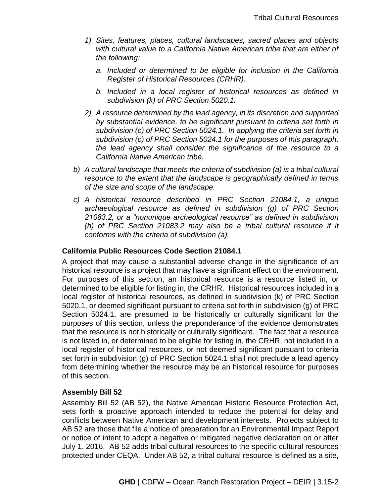- *1) Sites, features, places, cultural landscapes, sacred places and objects with cultural value to a California Native American tribe that are either of the following:* 
	- *a. Included or determined to be eligible for inclusion in the California Register of Historical Resources (CRHR).*
	- *b. Included in a local register of historical resources as defined in subdivision (k) of PRC Section 5020.1.*
- *2) A resource determined by the lead agency, in its discretion and supported by substantial evidence, to be significant pursuant to criteria set forth in subdivision (c) of PRC Section 5024.1. In applying the criteria set forth in subdivision (c) of PRC Section 5024.1 for the purposes of this paragraph, the lead agency shall consider the significance of the resource to a California Native American tribe.*
- *b) A cultural landscape that meets the criteria of subdivision (a) is a tribal cultural resource to the extent that the landscape is geographically defined in terms of the size and scope of the landscape.*
- *c) A historical resource described in PRC Section 21084.1, a unique archaeological resource as defined in subdivision (g) of PRC Section 21083.2, or a "nonunique archeological resource" as defined in subdivision (h) of PRC Section 21083.2 may also be a tribal cultural resource if it conforms with the criteria of subdivision (a).*

## **California Public Resources Code Section 21084.1**

A project that may cause a substantial adverse change in the significance of an historical resource is a project that may have a significant effect on the environment. For purposes of this section, an historical resource is a resource listed in, or determined to be eligible for listing in, the CRHR. Historical resources included in a local register of historical resources, as defined in subdivision (k) of PRC Section 5020.1, or deemed significant pursuant to criteria set forth in subdivision (g) of PRC Section 5024.1, are presumed to be historically or culturally significant for the purposes of this section, unless the preponderance of the evidence demonstrates that the resource is not historically or culturally significant. The fact that a resource is not listed in, or determined to be eligible for listing in, the CRHR, not included in a local register of historical resources, or not deemed significant pursuant to criteria set forth in subdivision (g) of PRC Section 5024.1 shall not preclude a lead agency from determining whether the resource may be an historical resource for purposes of this section.

## **Assembly Bill 52**

Assembly Bill 52 (AB 52), the Native American Historic Resource Protection Act, sets forth a proactive approach intended to reduce the potential for delay and conflicts between Native American and development interests. Projects subject to AB 52 are those that file a notice of preparation for an Environmental Impact Report or notice of intent to adopt a negative or mitigated negative declaration on or after July 1, 2016. AB 52 adds tribal cultural resources to the specific cultural resources protected under CEQA. Under AB 52, a tribal cultural resource is defined as a site,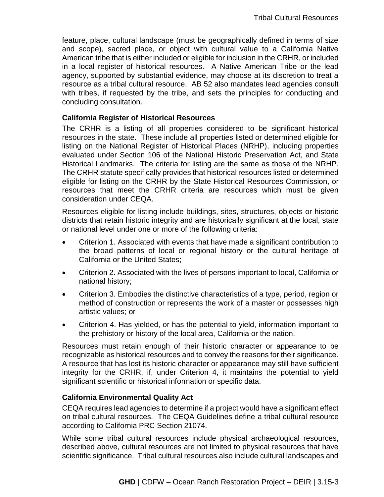feature, place, cultural landscape (must be geographically defined in terms of size and scope), sacred place, or object with cultural value to a California Native American tribe that is either included or eligible for inclusion in the CRHR, or included in a local register of historical resources. A Native American Tribe or the lead agency, supported by substantial evidence, may choose at its discretion to treat a resource as a tribal cultural resource. AB 52 also mandates lead agencies consult with tribes, if requested by the tribe, and sets the principles for conducting and concluding consultation.

#### **California Register of Historical Resources**

The CRHR is a listing of all properties considered to be significant historical resources in the state. These include all properties listed or determined eligible for listing on the National Register of Historical Places (NRHP), including properties evaluated under Section 106 of the National Historic Preservation Act, and State Historical Landmarks. The criteria for listing are the same as those of the NRHP. The CRHR statute specifically provides that historical resources listed or determined eligible for listing on the CRHR by the State Historical Resources Commission, or resources that meet the CRHR criteria are resources which must be given consideration under CEQA.

Resources eligible for listing include buildings, sites, structures, objects or historic districts that retain historic integrity and are historically significant at the local, state or national level under one or more of the following criteria:

- Criterion 1. Associated with events that have made a significant contribution to the broad patterns of local or regional history or the cultural heritage of California or the United States;
- Criterion 2. Associated with the lives of persons important to local, California or national history;
- Criterion 3. Embodies the distinctive characteristics of a type, period, region or method of construction or represents the work of a master or possesses high artistic values; or
- Criterion 4. Has yielded, or has the potential to yield, information important to the prehistory or history of the local area, California or the nation.

Resources must retain enough of their historic character or appearance to be recognizable as historical resources and to convey the reasons for their significance. A resource that has lost its historic character or appearance may still have sufficient integrity for the CRHR, if, under Criterion 4, it maintains the potential to yield significant scientific or historical information or specific data.

#### **California Environmental Quality Act**

CEQA requires lead agencies to determine if a project would have a significant effect on tribal cultural resources. The CEQA Guidelines define a tribal cultural resource according to California PRC Section 21074.

While some tribal cultural resources include physical archaeological resources, described above, cultural resources are not limited to physical resources that have scientific significance. Tribal cultural resources also include cultural landscapes and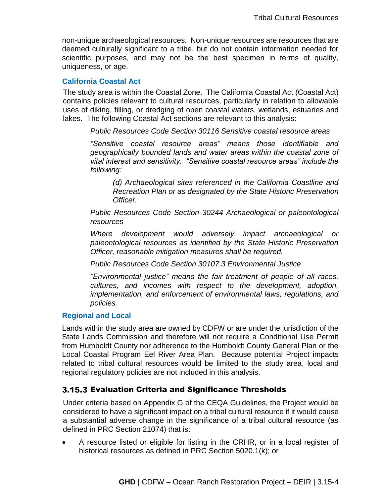non-unique archaeological resources. Non-unique resources are resources that are deemed culturally significant to a tribe, but do not contain information needed for scientific purposes, and may not be the best specimen in terms of quality, uniqueness, or age.

#### **California Coastal Act**

The study area is within the Coastal Zone. The California Coastal Act (Coastal Act) contains policies relevant to cultural resources, particularly in relation to allowable uses of diking, filling, or dredging of open coastal waters, wetlands, estuaries and lakes. The following Coastal Act sections are relevant to this analysis:

*Public Resources Code Section 30116 Sensitive coastal resource areas*

*"Sensitive coastal resource areas" means those identifiable and geographically bounded lands and water areas within the coastal zone of vital interest and sensitivity. "Sensitive coastal resource areas" include the following:*

*(d) Archaeological sites referenced in the California Coastline and Recreation Plan or as designated by the State Historic Preservation Officer.* 

*Public Resources Code Section 30244 Archaeological or paleontological resources*

*Where development would adversely impact archaeological or paleontological resources as identified by the State Historic Preservation Officer, reasonable mitigation measures shall be required.*

*Public Resources Code Section 30107.3 Environmental Justice*

*"Environmental justice" means the fair treatment of people of all races, cultures, and incomes with respect to the development, adoption, implementation, and enforcement of environmental laws, regulations, and policies.*

## **Regional and Local**

Lands within the study area are owned by CDFW or are under the jurisdiction of the State Lands Commission and therefore will not require a Conditional Use Permit from Humboldt County nor adherence to the Humboldt County General Plan or the Local Coastal Program Eel River Area Plan. Because potential Project impacts related to tribal cultural resources would be limited to the study area, local and regional regulatory policies are not included in this analysis.

## 3.15.3 Evaluation Criteria and Significance Thresholds

Under criteria based on Appendix G of the CEQA Guidelines, the Project would be considered to have a significant impact on a tribal cultural resource if it would cause a substantial adverse change in the significance of a tribal cultural resource (as defined in PRC Section 21074) that is:

 A resource listed or eligible for listing in the CRHR, or in a local register of historical resources as defined in PRC Section 5020.1(k); or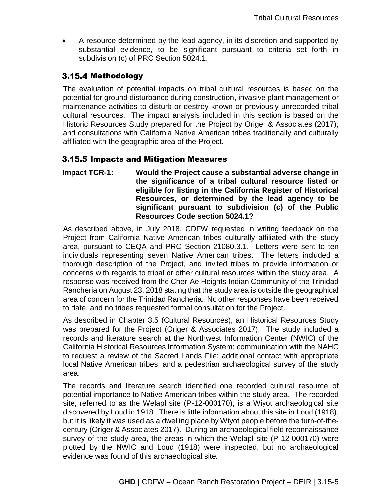A resource determined by the lead agency, in its discretion and supported by substantial evidence, to be significant pursuant to criteria set forth in subdivision (c) of PRC Section 5024.1.

## 3.15.4 Methodology

The evaluation of potential impacts on tribal cultural resources is based on the potential for ground disturbance during construction, invasive plant management or maintenance activities to disturb or destroy known or previously unrecorded tribal cultural resources. The impact analysis included in this section is based on the Historic Resources Study prepared for the Project by Origer & Associates (2017), and consultations with California Native American tribes traditionally and culturally affiliated with the geographic area of the Project.

## 3.15.5 Impacts and Mitigation Measures

**Impact TCR-1: Would the Project cause a substantial adverse change in the significance of a tribal cultural resource listed or eligible for listing in the California Register of Historical Resources, or determined by the lead agency to be significant pursuant to subdivision (c) of the Public Resources Code section 5024.1?**

As described above, in July 2018, CDFW requested in writing feedback on the Project from California Native American tribes culturally affiliated with the study area, pursuant to CEQA and PRC Section 21080.3.1. Letters were sent to ten individuals representing seven Native American tribes. The letters included a thorough description of the Project, and invited tribes to provide information or concerns with regards to tribal or other cultural resources within the study area. A response was received from the Cher-Ae Heights Indian Community of the Trinidad Rancheria on August 23, 2018 stating that the study area is outside the geographical area of concern for the Trinidad Rancheria. No other responses have been received to date, and no tribes requested formal consultation for the Project.

As described in Chapter 3.5 (Cultural Resources), an Historical Resources Study was prepared for the Project (Origer & Associates 2017). The study included a records and literature search at the Northwest Information Center (NWIC) of the California Historical Resources Information System; communication with the NAHC to request a review of the Sacred Lands File; additional contact with appropriate local Native American tribes; and a pedestrian archaeological survey of the study area.

The records and literature search identified one recorded cultural resource of potential importance to Native American tribes within the study area. The recorded site, referred to as the Welapl site (P-12-000170), is a Wiyot archaeological site discovered by Loud in 1918. There is little information about this site in Loud (1918), but it is likely it was used as a dwelling place by Wiyot people before the turn-of-thecentury (Origer & Associates 2017). During an archaeological field reconnaissance survey of the study area, the areas in which the Welapl site (P-12-000170) were plotted by the NWIC and Loud (1918) were inspected, but no archaeological evidence was found of this archaeological site.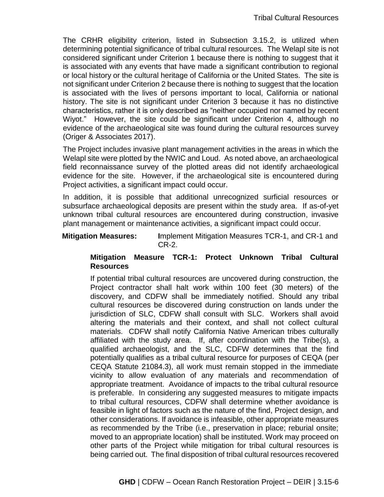The CRHR eligibility criterion, listed in Subsection 3.15.2, is utilized when determining potential significance of tribal cultural resources. The Welapl site is not considered significant under Criterion 1 because there is nothing to suggest that it is associated with any events that have made a significant contribution to regional or local history or the cultural heritage of California or the United States. The site is not significant under Criterion 2 because there is nothing to suggest that the location is associated with the lives of persons important to local, California or national history. The site is not significant under Criterion 3 because it has no distinctive characteristics, rather it is only described as "neither occupied nor named by recent Wiyot." However, the site could be significant under Criterion 4, although no evidence of the archaeological site was found during the cultural resources survey (Origer & Associates 2017).

The Project includes invasive plant management activities in the areas in which the Welapl site were plotted by the NWIC and Loud. As noted above, an archaeological field reconnaissance survey of the plotted areas did not identify archaeological evidence for the site. However, if the archaeological site is encountered during Project activities, a significant impact could occur.

In addition, it is possible that additional unrecognized surficial resources or subsurface archaeological deposits are present within the study area. If as-of-yet unknown tribal cultural resources are encountered during construction, invasive plant management or maintenance activities, a significant impact could occur.

**Mitigation Measures: I**mplement Mitigation Measures TCR-1, and CR-1 and CR-2.

## **Mitigation Measure TCR-1: Protect Unknown Tribal Cultural Resources**

If potential tribal cultural resources are uncovered during construction, the Project contractor shall halt work within 100 feet (30 meters) of the discovery, and CDFW shall be immediately notified. Should any tribal cultural resources be discovered during construction on lands under the jurisdiction of SLC, CDFW shall consult with SLC. Workers shall avoid altering the materials and their context, and shall not collect cultural materials. CDFW shall notify California Native American tribes culturally affiliated with the study area. If, after coordination with the Tribe(s), a qualified archaeologist, and the SLC, CDFW determines that the find potentially qualifies as a tribal cultural resource for purposes of CEQA (per CEQA Statute 21084.3), all work must remain stopped in the immediate vicinity to allow evaluation of any materials and recommendation of appropriate treatment. Avoidance of impacts to the tribal cultural resource is preferable. In considering any suggested measures to mitigate impacts to tribal cultural resources, CDFW shall determine whether avoidance is feasible in light of factors such as the nature of the find, Project design, and other considerations. If avoidance is infeasible, other appropriate measures as recommended by the Tribe (i.e., preservation in place; reburial onsite; moved to an appropriate location) shall be instituted. Work may proceed on other parts of the Project while mitigation for tribal cultural resources is being carried out. The final disposition of tribal cultural resources recovered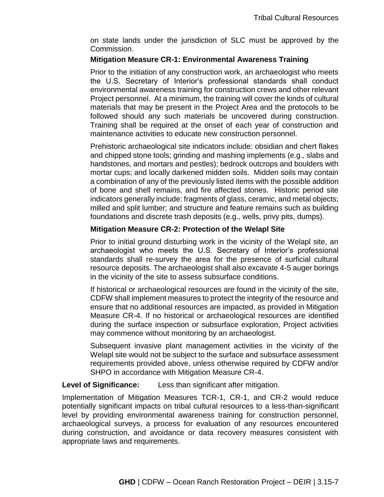on state lands under the jurisdiction of SLC must be approved by the Commission.

## **Mitigation Measure CR-1: Environmental Awareness Training**

Prior to the initiation of any construction work, an archaeologist who meets the U.S. Secretary of Interior's professional standards shall conduct environmental awareness training for construction crews and other relevant Project personnel. At a minimum, the training will cover the kinds of cultural materials that may be present in the Project Area and the protocols to be followed should any such materials be uncovered during construction. Training shall be required at the onset of each year of construction and maintenance activities to educate new construction personnel.

Prehistoric archaeological site indicators include: obsidian and chert flakes and chipped stone tools; grinding and mashing implements (e.g., slabs and handstones, and mortars and pestles); bedrock outcrops and boulders with mortar cups; and locally darkened midden soils. Midden soils may contain a combination of any of the previously listed items with the possible addition of bone and shell remains, and fire affected stones. Historic period site indicators generally include: fragments of glass, ceramic, and metal objects; milled and split lumber; and structure and feature remains such as building foundations and discrete trash deposits (e.g., wells, privy pits, dumps).

## **Mitigation Measure CR-2: Protection of the Welapl Site**

Prior to initial ground disturbing work in the vicinity of the Welapl site, an archaeologist who meets the U.S. Secretary of Interior's professional standards shall re-survey the area for the presence of surficial cultural resource deposits. The archaeologist shall also excavate 4-5 auger borings in the vicinity of the site to assess subsurface conditions.

If historical or archaeological resources are found in the vicinity of the site, CDFW shall implement measures to protect the integrity of the resource and ensure that no additional resources are impacted, as provided in Mitigation Measure CR-4. If no historical or archaeological resources are identified during the surface inspection or subsurface exploration, Project activities may commence without monitoring by an archaeologist.

Subsequent invasive plant management activities in the vicinity of the Welapl site would not be subject to the surface and subsurface assessment requirements provided above, unless otherwise required by CDFW and/or SHPO in accordance with Mitigation Measure CR-4.

## **Level of Significance:** Less than significant after mitigation.

Implementation of Mitigation Measures TCR-1, CR-1, and CR-2 would reduce potentially significant impacts on tribal cultural resources to a less-than-significant level by providing environmental awareness training for construction personnel, archaeological surveys, a process for evaluation of any resources encountered during construction, and avoidance or data recovery measures consistent with appropriate laws and requirements.